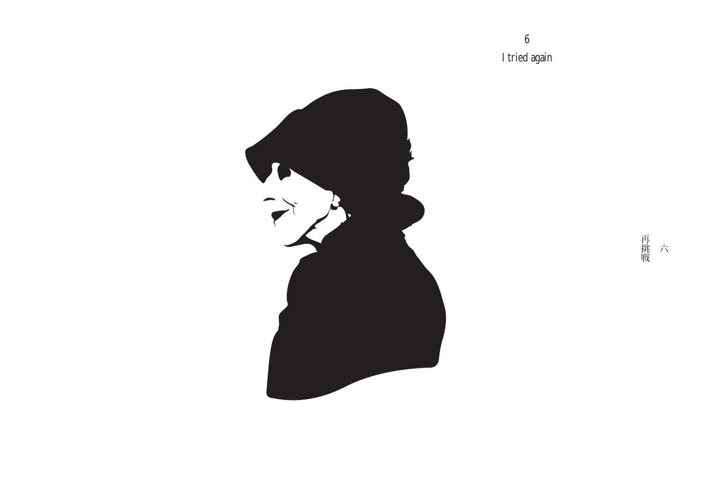6 I tried again

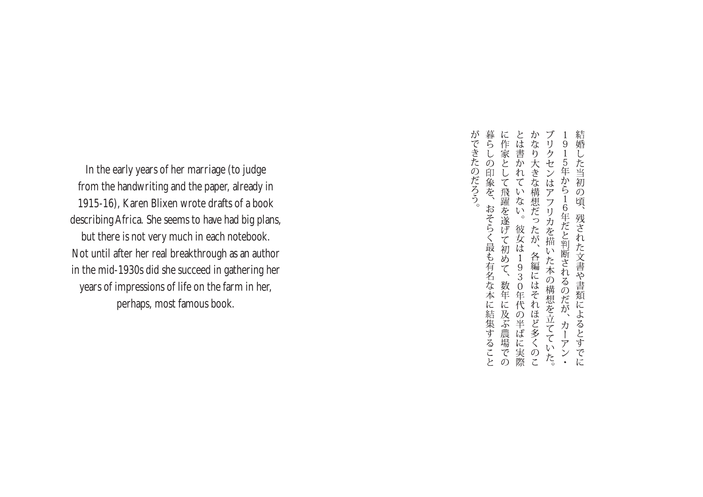In the early years of her marriage (to judge from the handwriting and the paper, already in 1915-16), Karen Blixen wrote drafts of a book describing Africa. She seems to have had big plans, but there is not very much in each notebook. Not until after her real breakthrough as an author in the mid-1930s did she succeed in gathering her years of impressions of life on the farm in her, perhaps, most famous book.

結婚 ができたのだろう。 暮らしの印象を、おそらく最も有名な本に結集すること に作家として飛躍を遂げて初めて、 とは書かれていない。彼女は1930年代の半ばに実際 ブリ かなり大きな構想だったが 9 クセンはアフリカを描いた本の構想を立てていた。 15年から16年だと判断されるのだが、カーアン・ した当初  $\mathcal{O}$ 項 残された文書や書類によるとすでに 各編にはそれほど多くのこ 数年に及ぶ農場での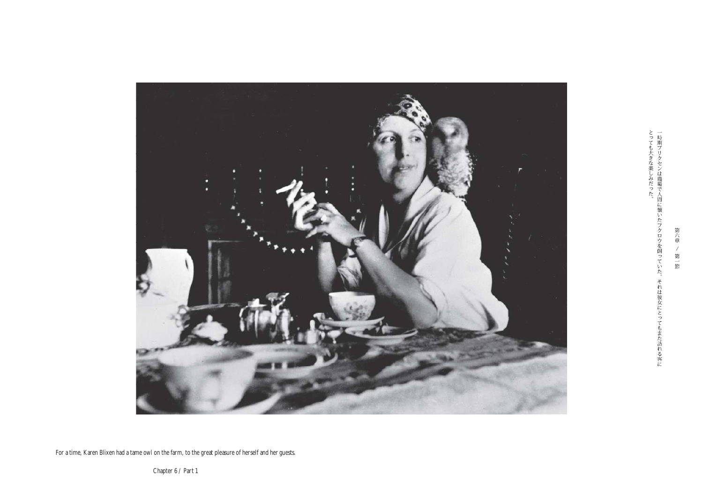

第六章 / 第一節

For a time, Karen Blixen had a tame owl on the farm, to the great pleasure of herself and her guests.

Chapter 6 / Part 1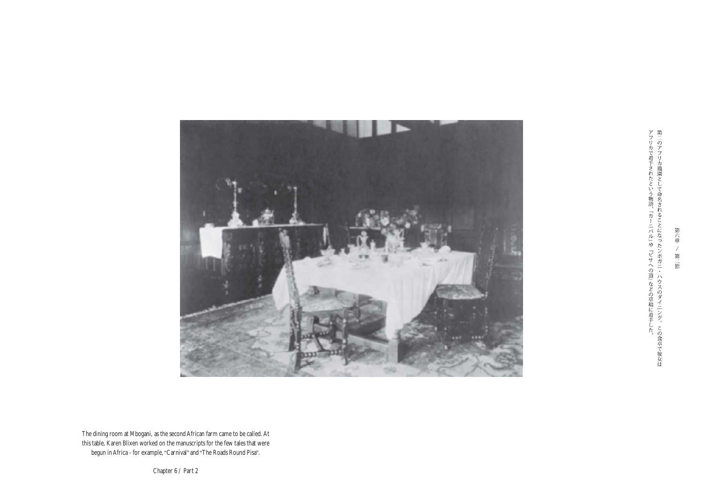

The dining room at Mbogani, as the second African farm came to be called.At this table, Karen Blixen worked on the manuscripts for the few tales that were begun in Africa - for example,"Carnival" and "The Roads Round Pisa".

第六章  $\overline{\mathscr{S}}$ 第二節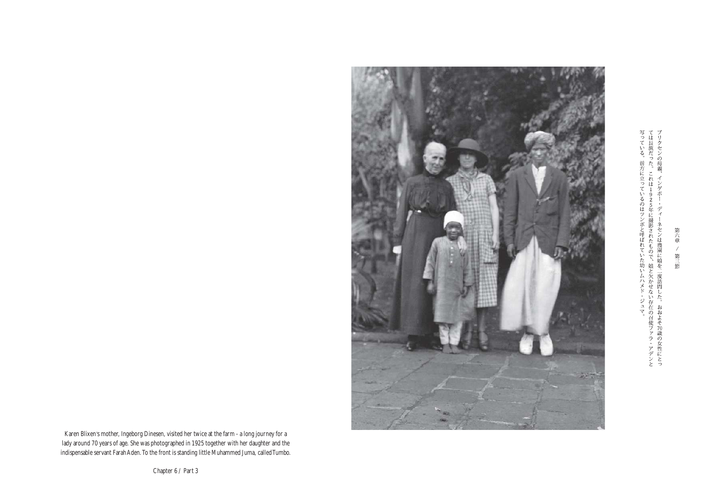写っている。前方に立っているのはツンボと呼ばれていた幼いムハメド・ジュマ。ては長旅だった。これは1925年に撮影されたもので、娘と欠かせない存在の召使ファラ・アデンとブリクセンの母親、インゲボー・ディーネセンは農園に娘を二度訪問した。おおよそ70歳の女性にとっ



Karen Blixen's mother, Ingeborg Dinesen, visited her twice at the farm - a long journey for a lady around 70 years of age. She was photographed in 1925 together with her daughter and the indispensable servant Farah Aden. To the front is standing little Muhammed Juma, called Tumbo.

Chapter 6 / Part 3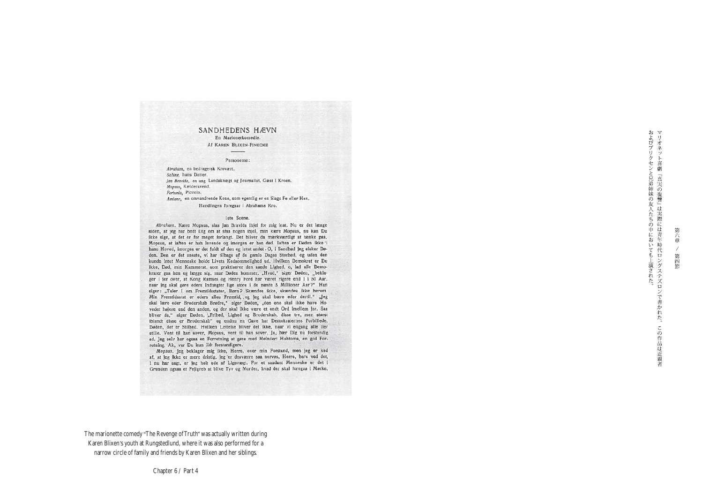## SANDHEDENS HÆVN

En Marionetkomedie. Af KAREN BLIXEN-FINECKE

## Personerne

Abraham, en bedragersk Krovært. Sabine, hans Datter. Jan Bravida, en ung Landsknægt og Journalist, Gæst i Kroen. Mopsus, Kældersvend. Fortunio, Piccolo. Amiane, en omvandrende Kone, som egentlig er en Slags Fe eller Hex. Handlingen foregaar i Abrahams Kro.

## Iste Scene.

Abraham. Kære Mopsus, slaa Jan Bravida ihjel for mig inat. Nu er det længe siden, at jeg har bedt Dig om at slaa nogen ihjel, min kære Mopsus, nu kan Du ikke sige, at det er for meget forlangt. Det bliver da mærkværdigt at tænke paa, Mopsus, at iaften er han levende og imorgen er han død. Iaften er Døden ikke i hans Hoyed, imorgen er det fuldt af den og intet andet - O, i Sandhed leg elsker Daden. Den er det eneste, vi har tilbage af de gamle Dages Storhed, og uden den kunde Intet Menneske holde Livets Kedsommelighed ud. Hvilken Demokrat er Du ikke, Død, min Kammerat, som praktiserer den sande Lighed, o, lad alle Demokrater gaa hen og lægge sig, naar Døden kommer. "Hvad," siger Døden, "beklager 1 fer over, at Kong Ramses og Henry Ford har været rigere end I i 50 Aar. naar jeg skal gøre eders Indtægter lige store i de næste 5 Millioner Aar?" Han siger: "Taler I om Fremtidsstater, Børn? Skændes ikke, skændes ikke herom. Min Fremtidsstat er eders alles Fremtid, og jeg skal bære eder dertil." "Jeg skal lære eder Broderskab Brødre," siger Døden, "den ene skal ikke have Hovedet højere end den anden, og der skal ikke være et ondt Ord imellem jer. Saa bliver da," siger Døden, '"Frihed, Lighed og Broderskab, disse tre, men størst iblandt disse er Broderskab" og endnu en Gave har Demokraternes Forbillede, Døden, det er Stilhed, Hvilken Lettelse bliver det ikke, naar vi engang alle tier stille. Vent til han sover, Mopsus, vent til han sover. Ja, bær Dig nu forstandig ad. Jeg selv har ogsaa en Forretning at gøre med Meindert Hobtoma, en god Forretning. Ak, var Du kun lidt forstandigere.

Mopsus, jeg beklager mig ikke, Herre, over min Forstand, men jeg er ked af, at leg ikke er mere dristig, leg er desværre saa nervøs, Herre, bare ved det, I nu har sagt, er jeg helt ude af Ligevægt. For et saadant Menneske er det i Grunden ogsaa et Fejlgreb at blive Tyv og Morder, hvad der skal foregaa i Mørke,

The marionette comedy "The Revenge ofTruth" was actually written during Karen Blixen's youth at Rungstedlund, where it was also performed for a narrow circle of family and friends by Karen Blixen and her siblings.

第六章

第四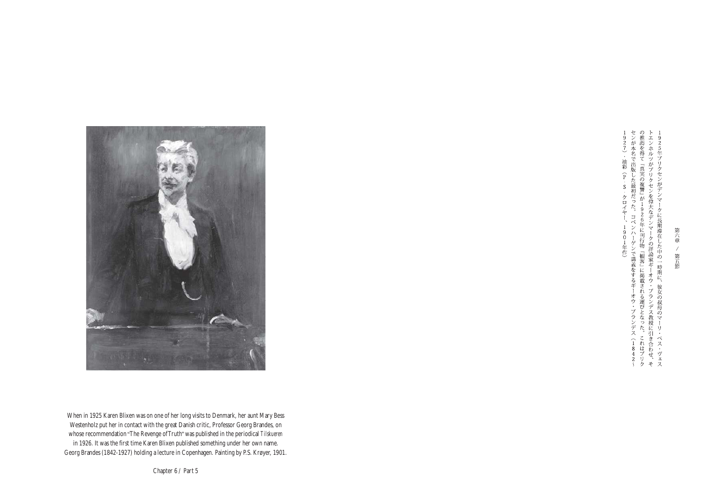

When in 1925 Karen Blixen was on one of her long visits to Denmark, her aunt Mary Bess Westenholz put her in contact with the great Danish critic, Professor Georg Brandes, on whose recommendation "The Revenge ofTruth" was published in the periodical *Tilskueren* in 1926. It was the first time Karen Blixen published something under her own name. Georg Brandes (1842-1927) holding a lecture in Copenhagen. Painting by P.S. Krøyer, 1901. 1927)・油彩(P.S.クロイヤー、1901年作)やお義をするギーオウ・ブランデス(1842~センが本名で出版した最初だった。コペンハーゲンで講義をするギーオウ・ブランデス(1842~の推薦を得て『真実の復讐』が1926年に刊行物『観客』に掲載される運びとなった。これはブリクトエンホルツがブリクセンを偉大なデンマークの評論家ギーオウ・ブランデス教授に引き合わせ、そ1925年ブリクセンがデンマークに長期滞在した中の一時期に、彼女の叔母のマー